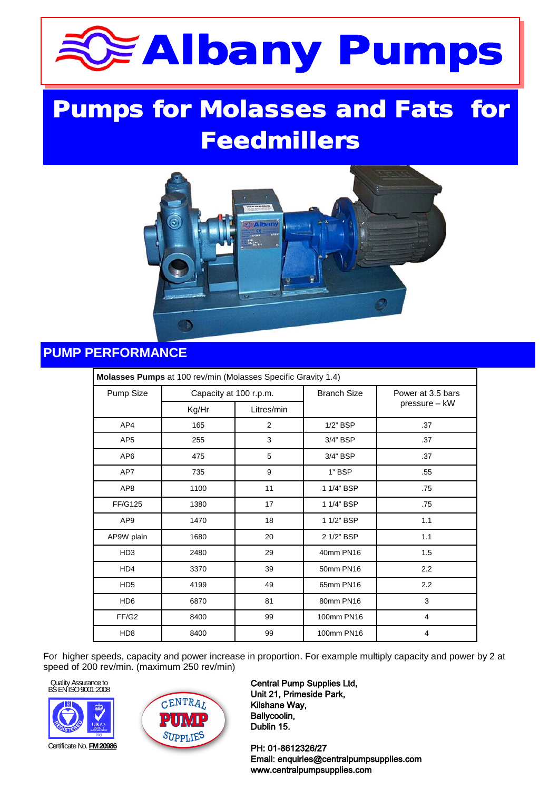# **Albany Pumps**

## **Pumps for Molasses and Fats for Feedmillers**



### **PUMP PERFORMANCE**

| Molasses Pumps at 100 rev/min (Molasses Specific Gravity 1.4) |                        |            |                    |                   |  |  |  |  |
|---------------------------------------------------------------|------------------------|------------|--------------------|-------------------|--|--|--|--|
| Pump Size                                                     | Capacity at 100 r.p.m. |            | <b>Branch Size</b> | Power at 3.5 bars |  |  |  |  |
|                                                               | Kg/Hr                  | Litres/min |                    | pressure - kW     |  |  |  |  |
| AP4                                                           | 165                    | 2          | $1/2$ " BSP        | .37               |  |  |  |  |
| AP <sub>5</sub>                                               | 255                    | 3          | 3/4" BSP           | .37               |  |  |  |  |
| AP <sub>6</sub>                                               | 475                    | 5          | 3/4" BSP           | .37               |  |  |  |  |
| AP7                                                           | 735                    | 9          | 1" BSP             | .55               |  |  |  |  |
| AP8                                                           | 1100                   | 11         | 1 1/4" BSP         | .75               |  |  |  |  |
| <b>FF/G125</b>                                                | 1380                   | 17         | 1 1/4" BSP         | .75               |  |  |  |  |
| AP <sub>9</sub>                                               | 1470                   | 18         | 1 1/2" BSP         | 1.1               |  |  |  |  |
| AP9W plain                                                    | 1680                   | 20         | 2 1/2" BSP         | 1.1               |  |  |  |  |
| HD <sub>3</sub>                                               | 2480                   | 29         | 40mm PN16          | 1.5               |  |  |  |  |
| HD4                                                           | 3370                   | 39         | 50mm PN16          | 2.2               |  |  |  |  |
| HD <sub>5</sub>                                               | 4199                   | 49         | 65mm PN16          | 2.2               |  |  |  |  |
| HD <sub>6</sub>                                               | 6870                   | 81         | 80mm PN16          | 3                 |  |  |  |  |
| FF/G2                                                         | 8400                   | 99         | 100mm PN16         | $\overline{4}$    |  |  |  |  |
| HD <sub>8</sub>                                               | 8400                   | 99         | 100mm PN16         | 4                 |  |  |  |  |

For higher speeds, capacity and power increase in proportion. For example multiply capacity and power by 2 at speed of 200 rev/min. (maximum 250 rev/min)

Quality Assurance to BS EN ISO 9001:2008



Unit 21, Primeside Park, **Tel: 1594 Ballycoolin, E-mail: sales E-mail: sales E-mail: sales E-mail: sales E-mail: sales E-mail: 1594 842275 e-mail: 1594 842275 e-mail: 1594 842275 e-mail: 1594 842275 e-mail: 1594 842275 e-mail: 1594 842275 e-mail:**  $\begin{array}{|c|c|c|c|}\n\hline\n\textbf{1} & \textbf{1} & \textbf{1} & \textbf{1} & \textbf{1} & \textbf{1} & \textbf{1} & \textbf{1} & \textbf{1} & \textbf{1} & \textbf{1} & \textbf{1} & \textbf{1} & \textbf{1} & \textbf{1} & \textbf{1} & \textbf{1} & \textbf{1} & \textbf{1} & \textbf{1} & \textbf{1} & \textbf{1} & \textbf{1} & \textbf{1} & \textbf{1} & \textbf{1} & \textbf{1} & \textbf{1} & \textbf{$ Central Pump Supplies Ltd, Kilshane Way,

**PH: 01-8612326/27 M1/107 <b>PH: 01-8612326/27** Email: enquiries@centralpumpsupplies.com www.centralpumpsupplies.com